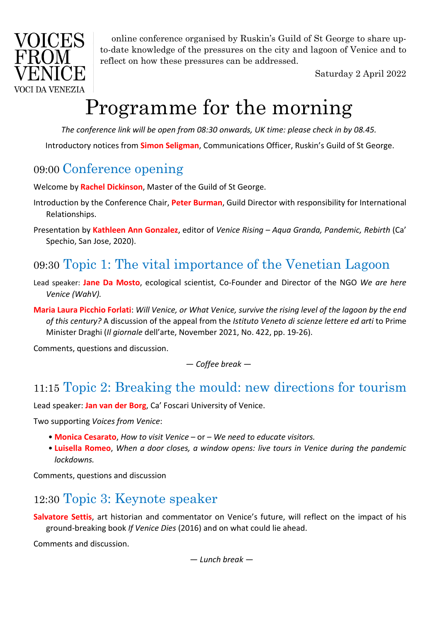

online conference organised by Ruskin's Guild of St George to share upto-date knowledge of the pressures on the city and lagoon of Venice and to reflect on how these pressures can be addressed.

Saturday 2 April 2022

# Programme for the morning

*The conference link will be open from 08:30 onwards, UK time: please check in by 08.45.*

Introductory notices from **Simon Seligman**, Communications Officer, Ruskin's Guild of St George.

#### 09:00 Conference opening

09:00 Welcome by **Rachel Dickinson**, Master of the Guild of St George.

- 09:10 Introduction by the Conference Chair, **Peter Burman**, Guild Director with responsibility for International Relationships.
- 09:25 Presentation by **Kathleen Ann Gonzalez**, editor of *Venice Rising – Aqua Granda, Pandemic, Rebirth* (Ca' Spechio, San Jose, 2020).

### 09:30 Topic 1: The vital importance of the Venetian Lagoon

- 09:30 Lead speaker: **Jane Da Mosto**, ecological scientist, Co-Founder and Director of the NGO *We are here Venice (WahV).*
- 10:05 **Maria Laura Picchio Forlati**: *Will Venice, or What Venice, survive the rising level of the lagoon by the end of this century?* A discussion of the appeal from the *Istituto Veneto di scienze lettere ed arti* to Prime Minister Draghi (*Il giornale* dell'arte, November 2021, No. 422, pp. 19-26).

Comments, questions and discussion.

 $-$  *Coffee break* —

#### 11:15 Topic 2: Breaking the mould: new directions for tourism

Lead speaker: **Jan van der Borg**, Ca' Foscari University of Venice.

Two supporting *Voices from Venice*:

- 11:45 **Monica Cesarato**, *How to visit Venice* or *We need to educate visitors.*
- 12:00 **Luisella Romeo**, *When a door closes, a window opens: live tours in Venice during the pandemic lockdowns.*

Comments, questions and discussion

#### 12:30 Topic 3: Keynote speaker

**Salvatore Settis**, art historian and commentator on Venice's future, will reflect on the impact of his ground-breaking book *If Venice Dies* (2016) and on what could lie ahead.

Comments and discussion.

*13:00 — Lunch break —*